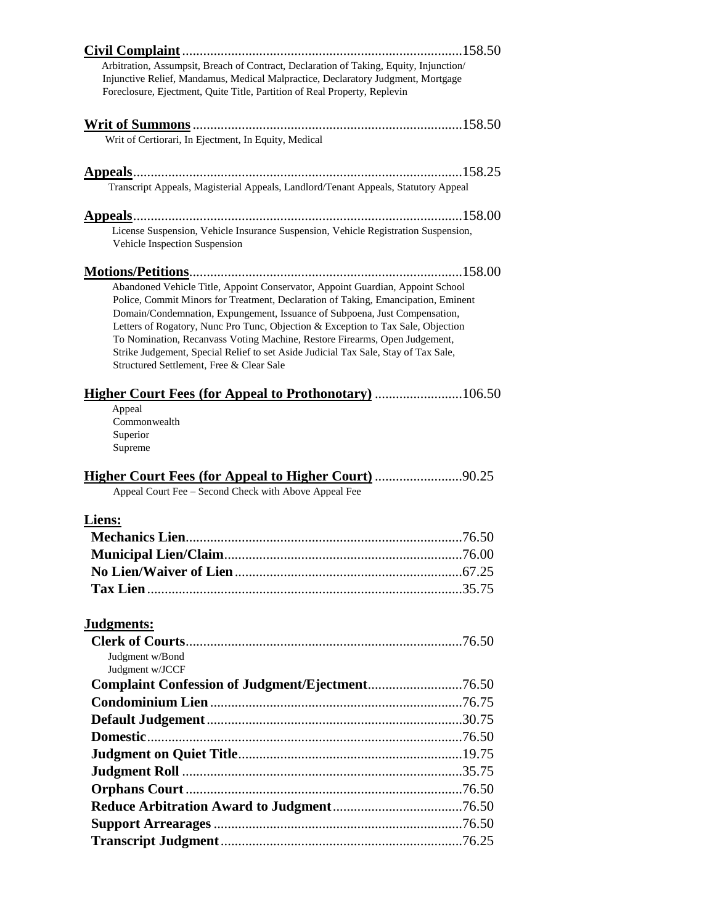| Arbitration, Assumpsit, Breach of Contract, Declaration of Taking, Equity, Injunction/<br>Injunctive Relief, Mandamus, Medical Malpractice, Declaratory Judgment, Mortgage<br>Foreclosure, Ejectment, Quite Title, Partition of Real Property, Replevin                                                                                                                                                                                                                                                                                               |  |
|-------------------------------------------------------------------------------------------------------------------------------------------------------------------------------------------------------------------------------------------------------------------------------------------------------------------------------------------------------------------------------------------------------------------------------------------------------------------------------------------------------------------------------------------------------|--|
|                                                                                                                                                                                                                                                                                                                                                                                                                                                                                                                                                       |  |
| Writ of Certiorari, In Ejectment, In Equity, Medical                                                                                                                                                                                                                                                                                                                                                                                                                                                                                                  |  |
|                                                                                                                                                                                                                                                                                                                                                                                                                                                                                                                                                       |  |
| Transcript Appeals, Magisterial Appeals, Landlord/Tenant Appeals, Statutory Appeal                                                                                                                                                                                                                                                                                                                                                                                                                                                                    |  |
|                                                                                                                                                                                                                                                                                                                                                                                                                                                                                                                                                       |  |
| License Suspension, Vehicle Insurance Suspension, Vehicle Registration Suspension,<br>Vehicle Inspection Suspension                                                                                                                                                                                                                                                                                                                                                                                                                                   |  |
|                                                                                                                                                                                                                                                                                                                                                                                                                                                                                                                                                       |  |
| Abandoned Vehicle Title, Appoint Conservator, Appoint Guardian, Appoint School<br>Police, Commit Minors for Treatment, Declaration of Taking, Emancipation, Eminent<br>Domain/Condemnation, Expungement, Issuance of Subpoena, Just Compensation,<br>Letters of Rogatory, Nunc Pro Tunc, Objection & Exception to Tax Sale, Objection<br>To Nomination, Recanvass Voting Machine, Restore Firearms, Open Judgement,<br>Strike Judgement, Special Relief to set Aside Judicial Tax Sale, Stay of Tax Sale,<br>Structured Settlement, Free & Clear Sale |  |
| <b>Higher Court Fees (for Appeal to Prothonotary)</b> 106.50                                                                                                                                                                                                                                                                                                                                                                                                                                                                                          |  |
| Appeal<br>Commonwealth<br>Superior<br>Supreme                                                                                                                                                                                                                                                                                                                                                                                                                                                                                                         |  |
| <b>Higher Court Fees (for Appeal to Higher Court)</b> 90.25                                                                                                                                                                                                                                                                                                                                                                                                                                                                                           |  |
| Appeal Court Fee - Second Check with Above Appeal Fee                                                                                                                                                                                                                                                                                                                                                                                                                                                                                                 |  |
| Liens:                                                                                                                                                                                                                                                                                                                                                                                                                                                                                                                                                |  |
|                                                                                                                                                                                                                                                                                                                                                                                                                                                                                                                                                       |  |
|                                                                                                                                                                                                                                                                                                                                                                                                                                                                                                                                                       |  |
|                                                                                                                                                                                                                                                                                                                                                                                                                                                                                                                                                       |  |
|                                                                                                                                                                                                                                                                                                                                                                                                                                                                                                                                                       |  |
|                                                                                                                                                                                                                                                                                                                                                                                                                                                                                                                                                       |  |
| Judgments:                                                                                                                                                                                                                                                                                                                                                                                                                                                                                                                                            |  |
|                                                                                                                                                                                                                                                                                                                                                                                                                                                                                                                                                       |  |
| Judgment w/Bond<br>Judgment w/JCCF                                                                                                                                                                                                                                                                                                                                                                                                                                                                                                                    |  |
|                                                                                                                                                                                                                                                                                                                                                                                                                                                                                                                                                       |  |
|                                                                                                                                                                                                                                                                                                                                                                                                                                                                                                                                                       |  |
|                                                                                                                                                                                                                                                                                                                                                                                                                                                                                                                                                       |  |
|                                                                                                                                                                                                                                                                                                                                                                                                                                                                                                                                                       |  |
|                                                                                                                                                                                                                                                                                                                                                                                                                                                                                                                                                       |  |
|                                                                                                                                                                                                                                                                                                                                                                                                                                                                                                                                                       |  |
|                                                                                                                                                                                                                                                                                                                                                                                                                                                                                                                                                       |  |
|                                                                                                                                                                                                                                                                                                                                                                                                                                                                                                                                                       |  |
|                                                                                                                                                                                                                                                                                                                                                                                                                                                                                                                                                       |  |
|                                                                                                                                                                                                                                                                                                                                                                                                                                                                                                                                                       |  |
|                                                                                                                                                                                                                                                                                                                                                                                                                                                                                                                                                       |  |